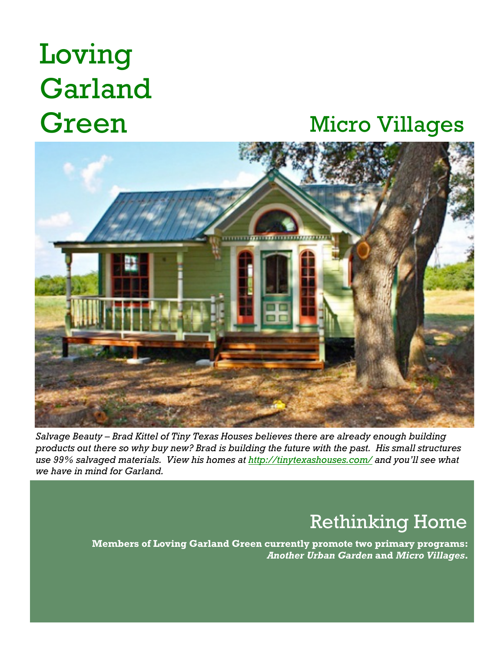# Loving Garland

### Green Micro Villages



*Salvage Beauty – Brad Kittel of Tiny Texas Houses believes there are already enough building products out there so why buy new? Brad is building the future with the past. His small structures use 99% salvaged materials. View his homes at http://tinytexashouses.com/ and you'll see what we have in mind for Garland.*

#### **+** Rethinking Home

**Members of Loving Garland Green currently promote two primary programs:**  *Another Urban Garden* **and** *Micro Villages***.**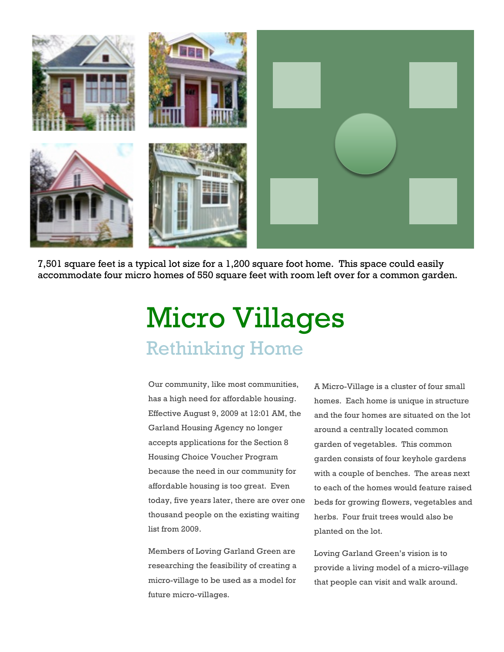

7,501 square feet is a typical lot size for a 1,200 square foot home. This space could easily accommodate four micro homes of 550 square feet with room left over for a common garden.

## Micro Villages Rethinking Home

Our community, like most communities, has a high need for affordable housing. Effective August 9, 2009 at 12:01 AM, the Garland Housing Agency no longer accepts applications for the Section 8 Housing Choice Voucher Program because the need in our community for affordable housing is too great. Even today, five years later, there are over one thousand people on the existing waiting list from 2009.

Members of Loving Garland Green are researching the feasibility of creating a micro-village to be used as a model for future micro-villages.

A Micro-Village is a cluster of four small homes. Each home is unique in structure and the four homes are situated on the lot around a centrally located common garden of vegetables. This common garden consists of four keyhole gardens with a couple of benches. The areas next to each of the homes would feature raised beds for growing flowers, vegetables and herbs. Four fruit trees would also be planted on the lot.

Loving Garland Green's vision is to provide a living model of a micro-village that people can visit and walk around.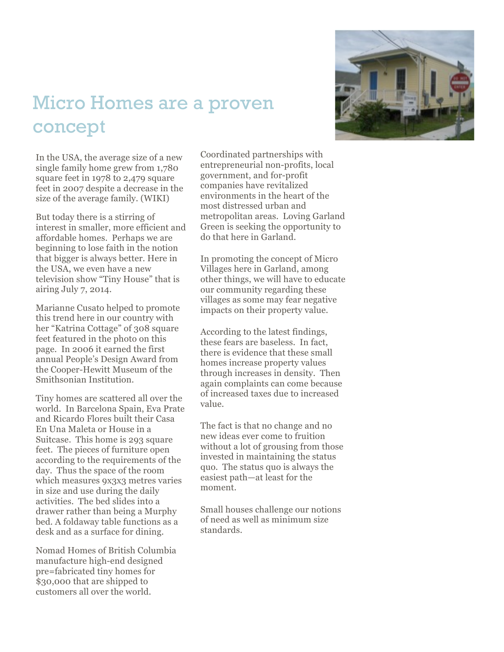#### Micro Homes are a proven concept



In the USA, the average size of a new single family home grew from 1,780 square feet in 1978 to 2,479 square feet in 2007 despite a decrease in the size of the average family. (WIKI)

But today there is a stirring of interest in smaller, more efficient and affordable homes. Perhaps we are beginning to lose faith in the notion that bigger is always better. Here in the USA, we even have a new television show "Tiny House" that is airing July 7, 2014.

Marianne Cusato helped to promote this trend here in our country with her "Katrina Cottage" of 308 square feet featured in the photo on this page. In 2006 it earned the first annual People's Design Award from the Cooper -Hewitt Museum of the Smithsonian Institution.

Tiny homes are scattered all over the world. In Barcelona Spain, Eva Prate and Ricardo Flores built their Casa En Una Maleta or House in a Suitcase. This home is 293 square feet. The pieces of furniture open according to the requirements of the day. Thus the space of the room which measures 9x3x3 metres varies in size and use during the daily activities. The bed slides into a drawer rather than being a Murphy bed. A foldaway table functions as a desk and as a surface for dining.

Nomad Homes of British Columbia manufacture high -end designed pre=fabricated tiny homes for \$30,000 that are shipped to customers all over the world.

Coordinated partnerships with entrepreneurial non -profits, local government, and for -profit companies have revitalized environments in the heart of the most distressed urban and metropolitan areas. Loving Garland Green is seeking the opportunity to do that here in Garland.

In promoting the concept of Micro Villages here in Garland, among other things, we will have to educate our community regarding these villages as some may fear negative impacts on their property value.

According to the latest findings, these fears are baseless. In fact, there is evidence that these small homes increase property values through increases in density. Then again complaints can come because of increased taxes due to increased value.

The fact is that no change and no new ideas ever come to fruition without a lot of grousing from those invested in maintaining the status quo. The status quo is always the easiest path —at least for the moment.

Small houses challenge our notions of need as well as minimum size standards.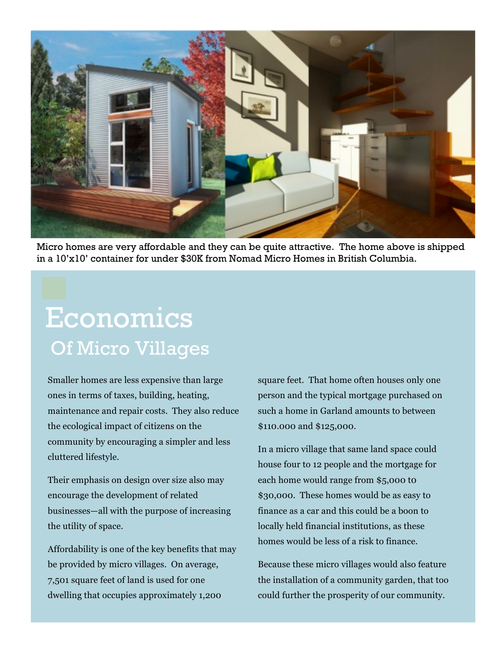

Micro homes are very affordable and they can be quite attractive. The home above is shipped in a 10'x10' container for under \$30K from Nomad Micro Homes in British Columbia.

## Economics Of Micro Villages

Smaller homes are less expensive than large ones in terms of taxes, building, heating, maintenance and repair costs. They also reduce the ecological impact of citizens on the community by encouraging a simpler and less cluttered lifestyle.

Their emphasis on design over size also may encourage the development of related businesses—all with the purpose of increasing the utility of space.

Affordability is one of the key benefits that may be provided by micro villages. On average, 7,501 square feet of land is used for one dwelling that occupies approximately 1,200

square feet. That home often houses only one person and the typical mortgage purchased on such a home in Garland amounts to between \$110.000 and \$125,000.

In a micro village that same land space could house four to 12 people and the mortgage for each home would range from \$5,000 t0 \$30,000. These homes would be as easy to finance as a car and this could be a boon to locally held financial institutions, as these homes would be less of a risk to finance.

Because these micro villages would also feature the installation of a community garden, that too could further the prosperity of our community.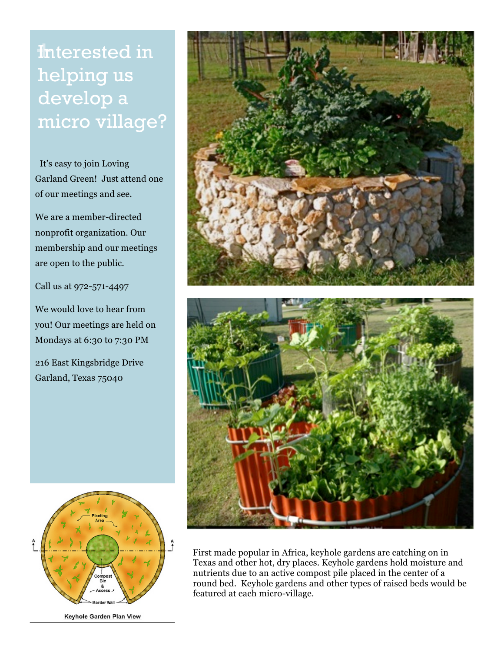**+**Interested in helping us develop a micro village?

It's easy to join Loving Garland Green! Just attend one of our meetings and see.

We are a member-directed nonprofit organization. Our membership and our meetings are open to the public.

Call us at 972-571-4497

We would love to hear from you! Our meetings are held on Mondays at 6:30 to 7:30 PM

216 East Kingsbridge Drive Garland, Texas 75040



Keyhole Garden Plan View





First made popular in Africa, keyhole gardens are catching on in Texas and other hot, dry places. Keyhole gardens hold moisture and nutrients due to an active compost pile placed in the center of a round bed. Keyhole gardens and other types of raised beds would be featured at each micro-village.